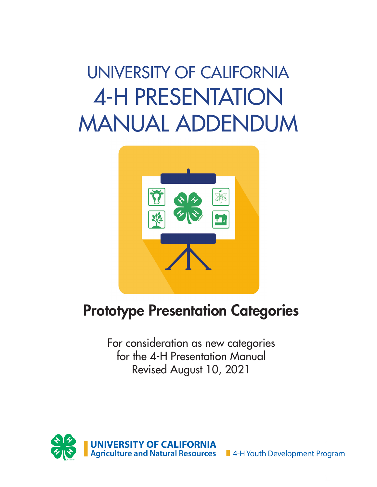# UNIVERSITY OF CALIFORNIA 4-H PRESENTATION MANUAL ADDENDUM



### Prototype Presentation Categories

For consideration as new categories for the 4-H Presentation Manual Revised August 10, 2021

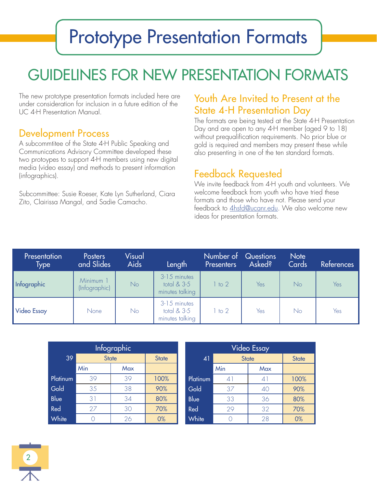# Prototype Presentation Formats

# GUIDELINES FOR NEW PRESENTATION FORMATS

The new prototype presentation formats included here are under consideration for inclusion in a future edition of the UC 4-H Presentation Manual.

#### Development Process

A subcommtitee of the State 4-H Public Speaking and Communications Advisory Committee developed these two protoypes to support 4-H members using new digital media (video essay) and methods to present information (infographics).

Subcommittee: Susie Roeser, Kate Lyn Sutherland, Ciara Zito, Clairissa Mangal, and Sadie Camacho.

#### Youth Are Invited to Present at the State 4-H Presentation Day

The formats are being tested at the State 4-H Presentation Day and are open to any 4-H member (aged 9 to 18) without prequalification requirements. No prior blue or gold is required and members may present these while also presenting in one of the ten standard formats.

#### Feedback Requested

We invite feedback from 4-H youth and volunteers. We welcome feedback from youth who have tried these formats and those who have not. Please send your feedback to 4hsfd@ucanr.edu. We also welcome new ideas for presentation formats.

| Presentation<br>Type | <b>Posters</b><br>and Slides | Visual<br><b>Aids</b> | Length                                           | Number of<br><b>Presenters</b> | <b>Questions</b><br>Asked? | <b>Note</b><br>Cards | <b>References</b> |
|----------------------|------------------------------|-----------------------|--------------------------------------------------|--------------------------------|----------------------------|----------------------|-------------------|
| Infographic          | Minimum 1<br>(Infographic)   | No                    | 3-15 minutes<br>total $& 3-5$<br>minutes talking | 1 to 2                         | Yes                        | N <sub>o</sub>       | Yes               |
| <b>Video Essay</b>   | <b>None</b>                  | No                    | 3-15 minutes<br>total $& 3-5$<br>minutes talking | 1 to 2                         | Yes                        | No                   | Yes               |

|          |              | Infographic |              | <b>Video Essay</b> |              |                             |              |
|----------|--------------|-------------|--------------|--------------------|--------------|-----------------------------|--------------|
| 39       | <b>State</b> |             | <b>State</b> | 41                 | <b>State</b> |                             | <b>State</b> |
|          | Min          | Max         |              |                    | Min          | Max                         |              |
| Platinum | 39           | 39          | 100%         | Platinum           | 41           | $\mathcal{A}^{\mathcal{I}}$ | 100%         |
| Gold     | 35           | 38          | 90%          | Gold               | 37           | 40                          | 90%          |
| Blue     | 31           | 34          | 80%          | <b>Blue</b>        | 33           | 36                          | 80%          |
| Red      | 27           | 30          | 70%          | Red                | 29           | 32                          | 70%          |
| White    |              | 26          | 0%           | White              |              | 28                          | 0%           |

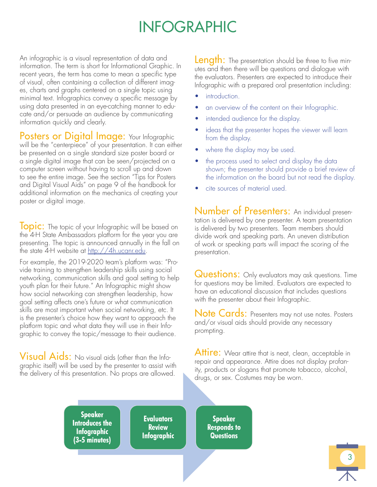### INFOGRAPHIC

An infographic is a visual representation of data and information. The term is short for Informational Graphic. In recent years, the term has come to mean a specific type of visual, often containing a collection of different images, charts and graphs centered on a single topic using minimal text. Infographics convey a specific message by using data presented in an eye-catching manner to educate and/or persuade an audience by communicating information quickly and clearly.

Posters or Digital Image: Your Infographic will be the "centerpiece" of your presentation. It can either be presented on a single standard size poster board or a single digital image that can be seen/projected on a computer screen without having to scroll up and down to see the entire image. See the section "Tips for Posters and Digital Visual Aids" on page 9 of the handbook for additional information on the mechanics of creating your poster or digital image.

**Topic:** The topic of your Infographic will be based on the 4-H State Ambassadors platform for the year you are presenting. The topic is announced annually in the fall on the state 4-H website at http://4h.ucanr.edu.

For example, the 2019-2020 team's platform was: "Provide training to strengthen leadership skills using social networking, communication skills and goal setting to help youth plan for their future." An Infographic might show how social networking can strengthen leadership, how goal setting affects one's future or what communication skills are most important when social networking, etc. It is the presenter's choice how they want to approach the platform topic and what data they will use in their Infographic to convey the topic/message to their audience.

Visual Aids: No visual aids (other than the Infographic itself) will be used by the presenter to assist with the delivery of this presentation. No props are allowed.

**Length:** The presentation should be three to five minutes and then there will be questions and dialogue with the evaluators. Presenters are expected to introduce their Infographic with a prepared oral presentation including:

- introduction.
- an overview of the content on their Infographic.
- intended audience for the display.
- ideas that the presenter hopes the viewer will learn from the display.
- where the display may be used.
- the process used to select and display the data shown; the presenter should provide a brief review of the information on the board but not read the display.
- cite sources of material used.

Number of Presenters: An individual presentation is delivered by one presenter. A team presentation is delivered by two presenters. Team members should divide work and speaking parts. An uneven distribution of work or speaking parts will impact the scoring of the presentation.

**Questions:** Only evaluators may ask questions. Time for questions may be limited. Evaluators are expected to have an educational discussion that includes questions with the presenter about their Infographic.

Note Cards: Presenters may not use notes. Posters and/or visual aids should provide any necessary prompting.

Attire: Wear attire that is neat, clean, acceptable in repair and appearance. Attire does not display profanity, products or slogans that promote tobacco, alcohol, drugs, or sex. Costumes may be worn.

**Speaker Introduces the Infographic** (3-5 minutes)

**Evaluators Review Infographic** 

**Speaker Responds to Questions**